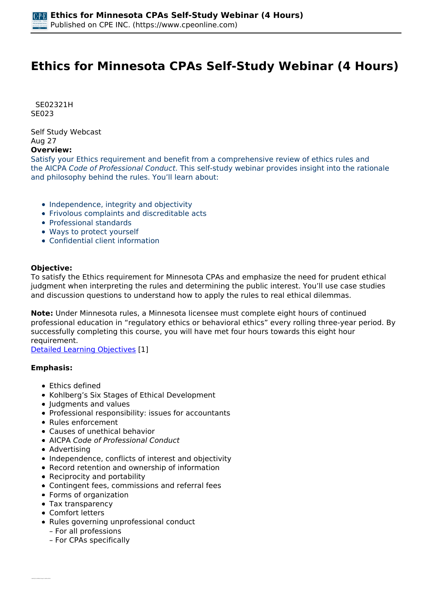# **Ethics for Minnesota CPAs Self-Study Webinar (4 Hours)**

 *SE02321H SE023* 

*Self Study Webcast Aug 27* 

# **Overview:**

*Satisfy your Ethics requirement and benefit from a comprehensive review of ethics rules and the AICPA Code of Professional Conduct. This self-study webinar provides insight into the rationale and philosophy behind the rules. You'll learn about:*

- *Independence, integrity and objectivity*
- *Frivolous complaints and discreditable acts*
- *Professional standards*
- *Ways to protect yourself*
- *Confidential client information*

### **Objective:**

*To satisfy the Ethics requirement for Minnesota CPAs and emphasize the need for prudent ethical judgment when interpreting the rules and determining the public interest. You'll use case studies and discussion questions to understand how to apply the rules to real ethical dilemmas.*

**Note:** *Under Minnesota rules, a Minnesota licensee must complete eight hours of continued professional education in "regulatory ethics or behavioral ethics" every rolling three-year period. By successfully completing this course, you will have met four hours towards this eight hour requirement.*

*[Detailed Learning Objectives](https://www.cpeonline.com/JavaScript:showObjectivesPopup();) [1]*

### **Emphasis:**

- *Ethics defined*
- *Kohlberg's Six Stages of Ethical Development*
- *Judgments and values*
- *Professional responsibility: issues for accountants*
- *Rules enforcement*
- *Causes of unethical behavior*
- *AICPA Code of Professional Conduct*
- *Advertising*
- *Independence, conflicts of interest and objectivity*
- *Record retention and ownership of information*
- *Reciprocity and portability*
- *Contingent fees, commissions and referral fees*
- *Forms of organization*
- *Tax transparency*
- *Comfort letters*
- *Rules governing unprofessional conduct – For all professions*
	- *For CPAs specifically*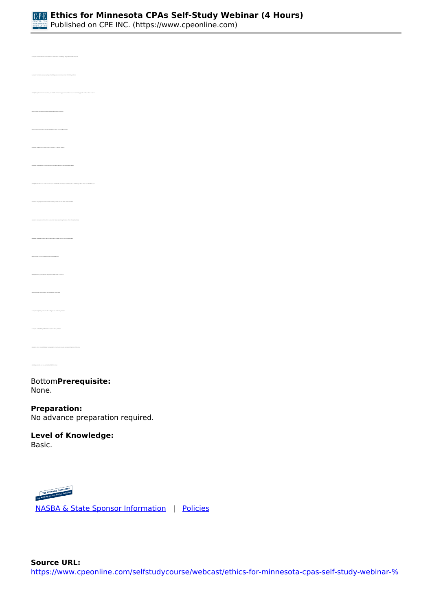

*Published on CPE INC. (https://www.cpeonline.com)*

*• Identify the professional mandates that prevent CPAs from claiming ignorance of the rules and standards applicable to their ethical behavior • Identify the accounting issues leading to potentially unethical behavior • Recognize engagements in which a CPA is working in a fiduciary capacity • Determine the perspective from which accountancy boards view the AICPA Code of Conduct • Recognize the primary concern with the performance of attest services for non-attest clients • Identify threats to the practitioner's integrity and objectivity • Identify the work paper retention requirements of the Code of Conduct • Identify the entity responsible for the promulgation of US GAAP • Determine those records that must be provided to a client, upon request, even where fees are outstanding • Identify permissible and non-permissible CPA firm names* 

#### *Bottom***Prerequisite:**  *None.*

### **Preparation:**

*No advance preparation required.*

#### **Level of Knowledge:**  *Basic.*